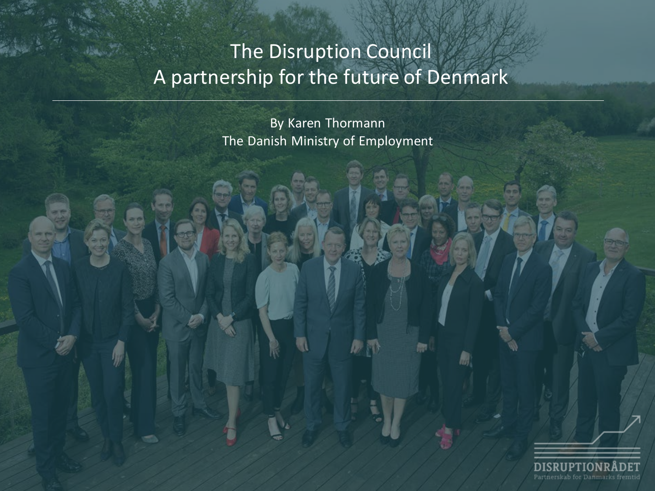# The Disruption Council A partnership for the future of Denmark

By Karen Thormann The Danish Ministry of Employment



m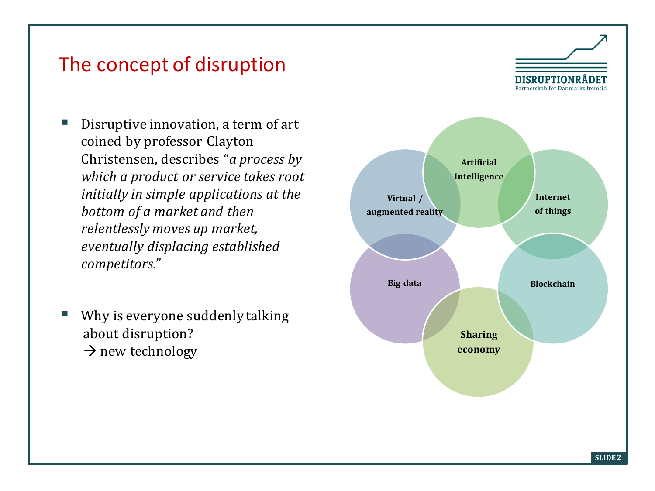#### The concept of disruption

- Disruptive innovation, a term of art coined by professor Clayton Christensen, describes "*a process by which a product or service takes root initially in simple applications at the bottom of a market and then relentlessly moves up market, eventually displacing established competitors."*
- Why is everyone suddenly talking about disruption?  $\rightarrow$  new technology

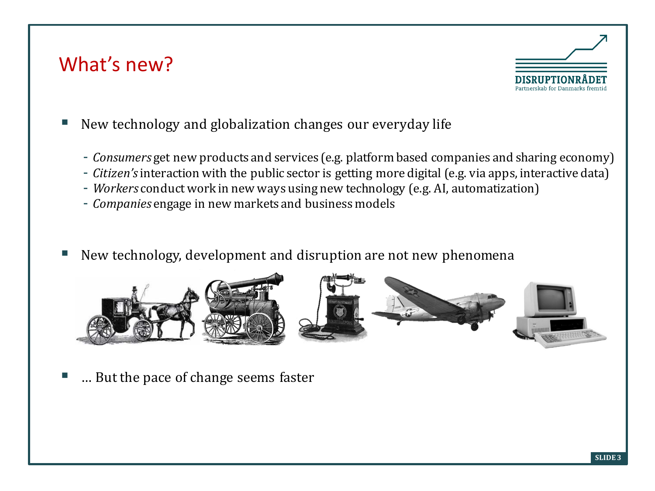#### What's new?



- New technology and globalization changes our everyday life
	- *Consumers* get new products and services (e.g. platform based companies and sharing economy)
	- *Citizen's* interaction with the public sector is getting more digital (e.g. via apps, interactive data)
	- *Workers* conduct work in new ways using new technology (e.g. AI, automatization)
	- *Companies* engage in new markets and business models
- New technology, development and disruption are not new phenomena



… But the pace of change seems faster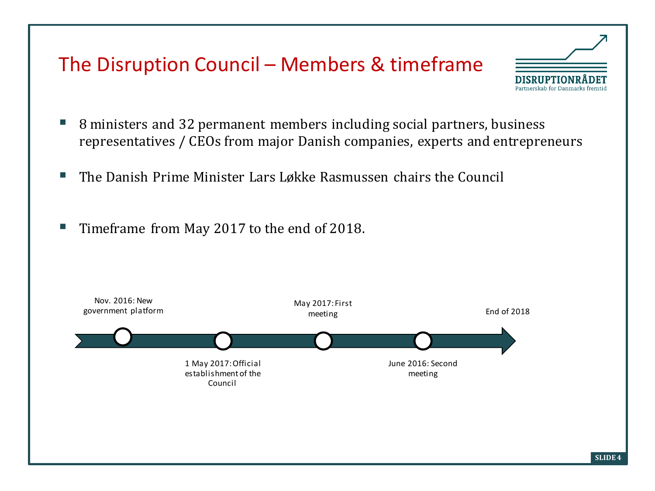### The Disruption Council – Members & timeframe

- 8 ministers and 32 permanent members including social partners, business representatives / CEOs from major Danish companies, experts and entrepreneurs
- The Danish Prime Minister Lars Løkke Rasmussen chairs the Council
- Timeframe from May 2017 to the end of 2018.



DISRIIPTION Partnerskab for Danmarks fremtid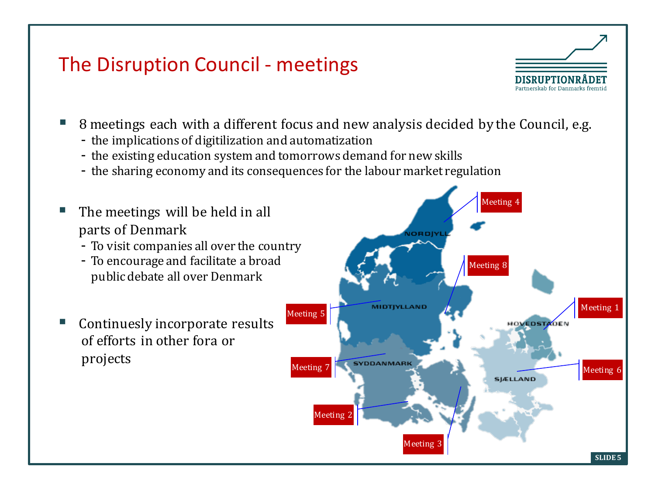# The Disruption Council - meetings



- 8 meetings each with a different focus and new analysis decided by the Council, e.g.
	- the implications of digitilization and automatization
	- the existing education system and tomorrows demand for new skills
	- the sharing economy and its consequences for the labour market regulation
- The meetings will be held in all parts of Denmark
	- To visit companies all over the country
	- To encourage and facilitate a broad public debate all over Denmark
- [Continuesly](http://www.campinghistorier.dk/index_reg_nordjylland.php) incorporate results of efforts in other fora or [projects](http://www.campinghistorier.dk/index_reg_midtjylland.php)

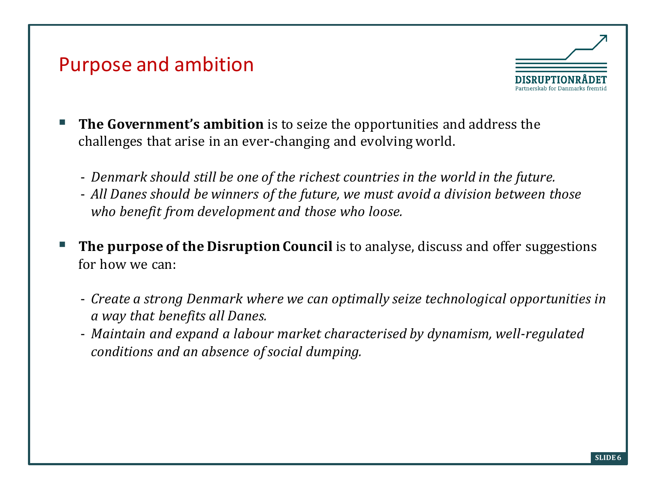#### Purpose and ambition



- **The Government's ambition** is to seize the opportunities and address the challenges that arise in an ever-changing and evolving world.
	- *Denmark should still be one of the richest countries in the world in the future.*
	- *All Danes should be winners of the future, we must avoid a division between those who benefit from development and those who loose.*
- **The purpose of the Disruption Council** is to analyse, discuss and offer suggestions for how we can:
	- *Create a strong Denmark where we can optimally seize technological opportunities in a way that benefits all Danes.*
	- *Maintain and expand a labour market characterised by dynamism, well-regulated conditions and an absence of social dumping.*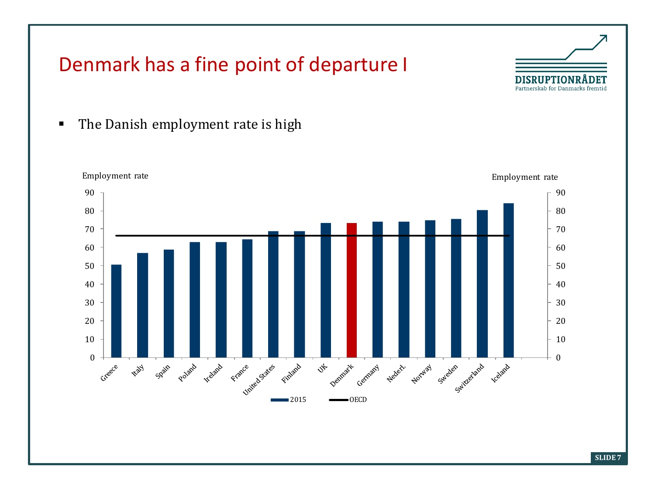# Denmark has a fine point of departure I



• The Danish employment rate is high

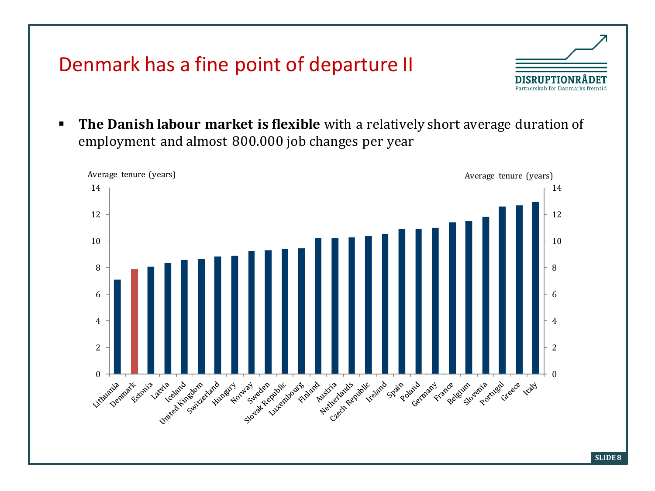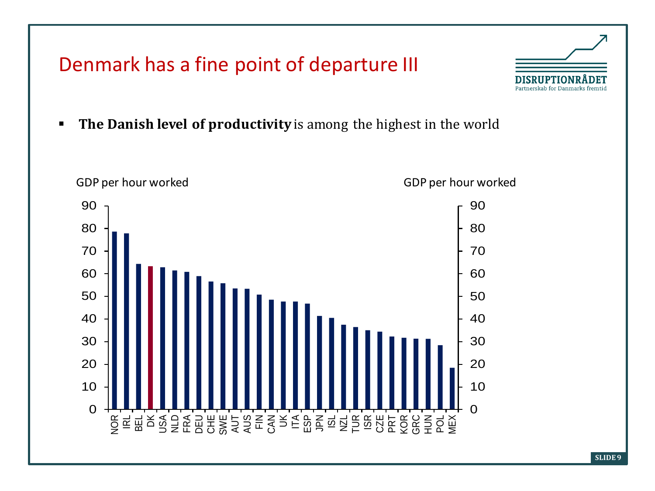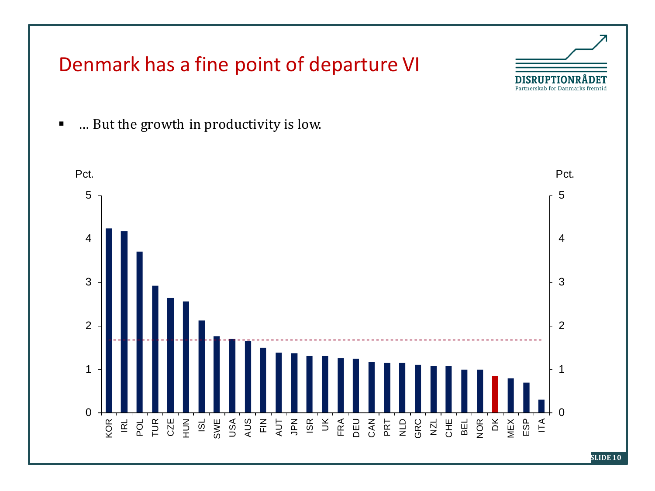

**SLIDE 10**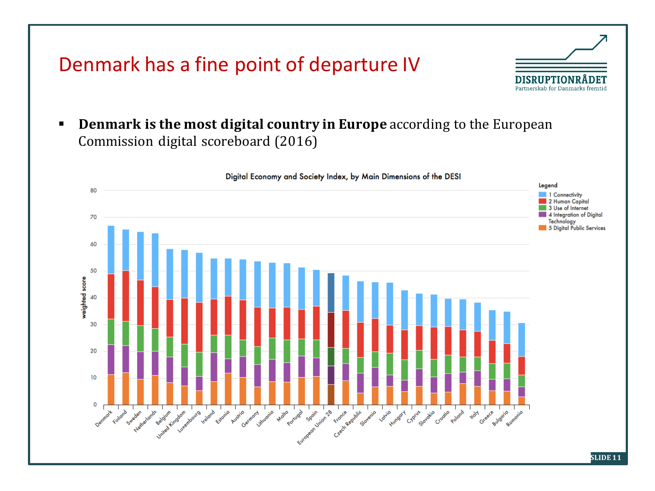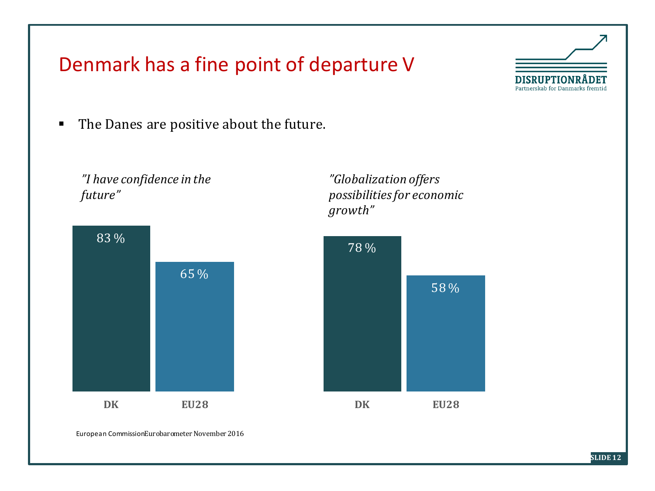

## Denmark has a fine point of departure V

The Danes are positive about the future.

*"I have confidence in the future"*



*"Globalization offers possibilities for economic growth"*



European CommissionEurobarometer November 2016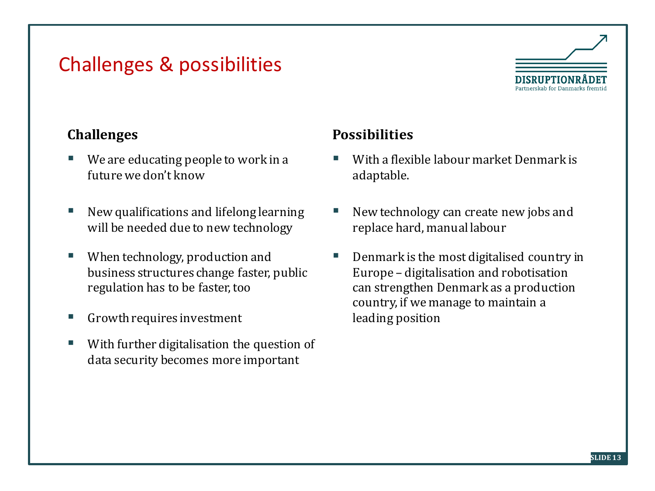# Challenges & possibilities



- We are educating people to work in a future we don't know
- New qualifications and lifelong learning will be needed due to new technology
- When technology, production and business structures change faster, public regulation has to be faster, too
- Growth requires investment
- With further digitalisation the question of data security becomes more important

#### **Challenges Possibilities**

- With a flexible labour market Denmark is adaptable.
- New technology can create new jobs and replace hard, manual labour
- Denmark is the most digitalised country in Europe – digitalisation and robotisation can strengthen Denmark as a production country, if we manage to maintain a leading position